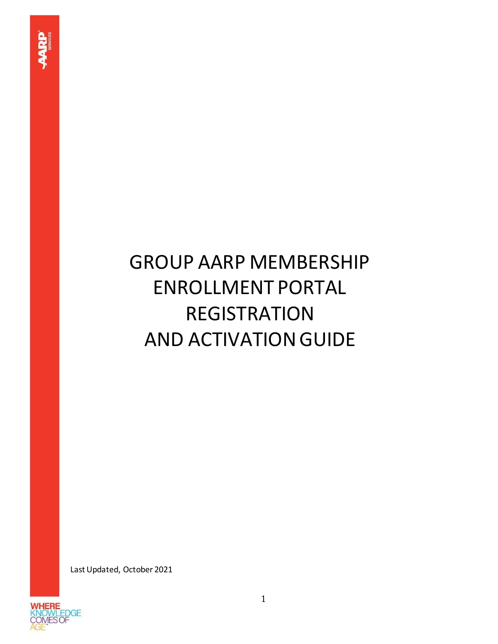## GROUP AARP MEMBERSHIP ENROLLMENT PORTAL REGISTRATION AND ACTIVATION GUIDE

Last Updated, October 2021

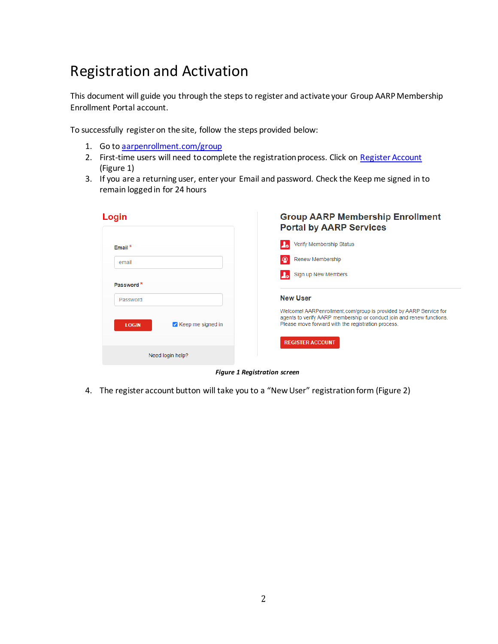## Registration and Activation

This document will guide you through the steps to register and activate your Group AARP Membership Enrollment Portal account.

To successfully register on the site, follow the steps provided below:

- 1. Go to aarpenrollment.com/group
- 2. First-time users will need to complete the registration process. Click on [Register Account](https://aarpenrollment.com/group) (Figure 1)
- 3. If you are a returning user, enter your Email and password. Check the Keep me signed in to remain logged in for 24 hours

| Login                             | <b>Group AARP Membership Enrollment</b><br><b>Portal by AARP Services</b>                                                                                                                        |
|-----------------------------------|--------------------------------------------------------------------------------------------------------------------------------------------------------------------------------------------------|
| Email $*$                         | Verify Membership Status                                                                                                                                                                         |
| email                             | Renew Membership                                                                                                                                                                                 |
|                                   | Sign up New Members                                                                                                                                                                              |
| Password <sup>*</sup>             |                                                                                                                                                                                                  |
| Password                          | <b>New User</b>                                                                                                                                                                                  |
| Keep me signed in<br><b>LOGIN</b> | Welcome! AARPenrollment.com/group is provided by AARP Service for<br>agents to verify AARP membership or conduct join and renew functions.<br>Please move forward with the registration process. |
|                                   | <b>REGISTER ACCOUNT</b>                                                                                                                                                                          |
| Need login help?                  |                                                                                                                                                                                                  |

*Figure 1 Registration screen*

4. The register account button will take you to a "New User" registration form (Figure 2)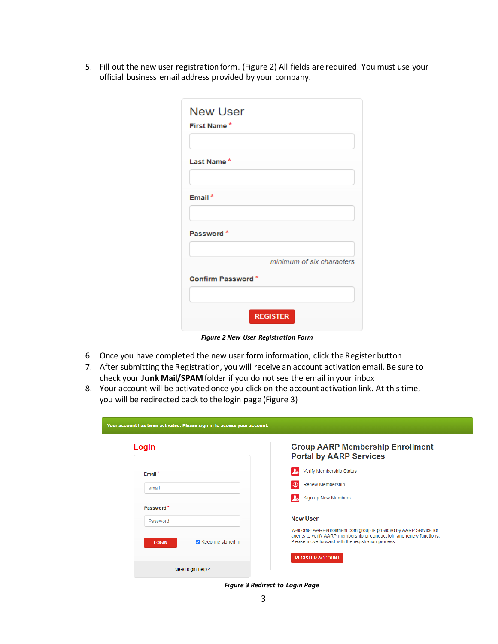5. Fill out the new user registration form. (Figure 2) All fields are required. You must use your official business email address provided by your company.

| First Name <sup>*</sup> |                           |
|-------------------------|---------------------------|
| Last Name <sup>*</sup>  |                           |
| Email $*$               |                           |
| Password <sup>*</sup>   |                           |
|                         | minimum of six characters |
| Confirm Password*       |                           |
|                         |                           |

*Figure 2 New User Registration Form*

- 6. Once you have completed the new user form information, click the Register button
- 7. After submitting the Registration, you will receive an account activation email. Be sure to check your **Junk Mail/SPAM**folder if you do not see the email in your inbox
- 8. Your account will be activated once you click on the account activation link. At this time, you will be redirected back to the login page (Figure 3)

| Login                             | <b>Group AARP Membership Enrollment</b><br><b>Portal by AARP Services</b>                                                                                                                        |
|-----------------------------------|--------------------------------------------------------------------------------------------------------------------------------------------------------------------------------------------------|
| Email $*$                         | Verify Membership Status                                                                                                                                                                         |
| email                             | Renew Membership                                                                                                                                                                                 |
|                                   | Sign up New Members                                                                                                                                                                              |
| Password <sup>*</sup>             |                                                                                                                                                                                                  |
| Password                          | <b>New User</b>                                                                                                                                                                                  |
| Keep me signed in<br><b>LOGIN</b> | Welcome! AARPenrollment.com/group is provided by AARP Service for<br>agents to verify AARP membership or conduct join and renew functions.<br>Please move forward with the registration process. |
|                                   | <b>REGISTER ACCOUNT</b>                                                                                                                                                                          |
| Need login help?                  |                                                                                                                                                                                                  |

*Figure 3 Redirect to Login Page*